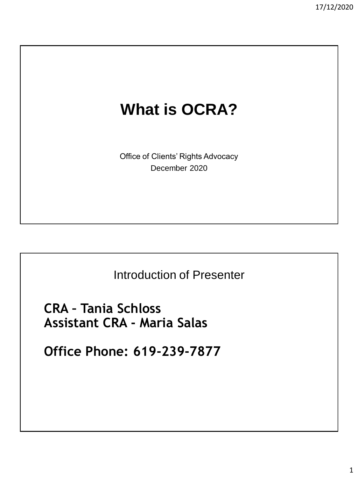# **What is OCRA?**

Office of Clients' Rights Advocacy December 2020

Introduction of Presenter

**CRA – Tania Schloss Assistant CRA - Maria Salas** 

**Office Phone: 619-239-7877**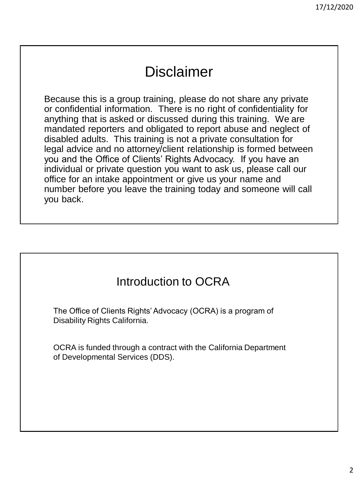## Disclaimer

Because this is a group training, please do not share any private or confidential information. There is no right of confidentiality for anything that is asked or discussed during this training. We are mandated reporters and obligated to report abuse and neglect of disabled adults. This training is not a private consultation for legal advice and no attorney/client relationship is formed between you and the Office of Clients' Rights Advocacy. If you have an individual or private question you want to ask us, please call our office for an intake appointment or give us your name and number before you leave the training today and someone will call you back.

#### Introduction to OCRA

The Office of Clients Rights' Advocacy (OCRA) is a program of Disability Rights California.

OCRA is funded through a contract with the California Department of Developmental Services (DDS).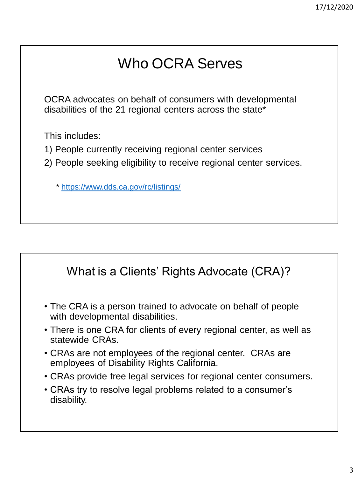# Who OCRA Serves

OCRA advocates on behalf of consumers with developmental disabilities of the 21 regional centers across the state\*

This includes:

- 1) People currently receiving regional center services
- 2) People seeking eligibility to receive regional center services.

\*<https://www.dds.ca.gov/rc/listings/>

#### What is a Clients' Rights Advocate (CRA)?

- The CRA is a person trained to advocate on behalf of people with developmental disabilities.
- There is one CRA for clients of every regional center, as well as statewide CRAs.
- CRAs are not employees of the regional center. CRAs are employees of Disability Rights California.
- CRAs provide free legal services for regional center consumers.
- CRAs try to resolve legal problems related to a consumer's disability.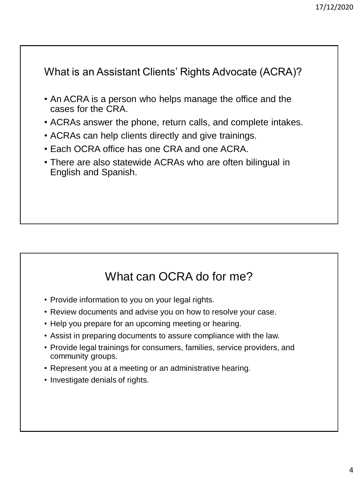What is an Assistant Clients' Rights Advocate (ACRA)?

- An ACRA is a person who helps manage the office and the cases for the CRA.
- ACRAs answer the phone, return calls, and complete intakes.
- ACRAs can help clients directly and give trainings.
- Each OCRA office has one CRA and one ACRA.
- There are also statewide ACRAs who are often bilingual in English and Spanish.

## What can OCRA do for me?

- Provide information to you on your legal rights.
- Review documents and advise you on how to resolve your case.
- Help you prepare for an upcoming meeting or hearing.
- Assist in preparing documents to assure compliance with the law.
- Provide legal trainings for consumers, families, service providers, and community groups.
- Represent you at a meeting or an administrative hearing.
- Investigate denials of rights.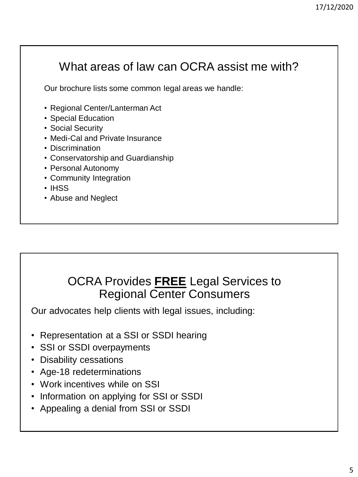## What areas of law can OCRA assist me with?

Our brochure lists some common legal areas we handle:

- Regional Center/Lanterman Act
- Special Education
- Social Security
- Medi-Cal and Private Insurance
- Discrimination
- Conservatorship and Guardianship
- Personal Autonomy
- Community Integration
- IHSS
- Abuse and Neglect

#### OCRA Provides **FREE** Legal Services to Regional Center Consumers

Our advocates help clients with legal issues, including:

- Representation at a SSI or SSDI hearing
- SSI or SSDI overpayments
- Disability cessations
- Age-18 redeterminations
- Work incentives while on SSI
- Information on applying for SSI or SSDI
- Appealing a denial from SSI or SSDI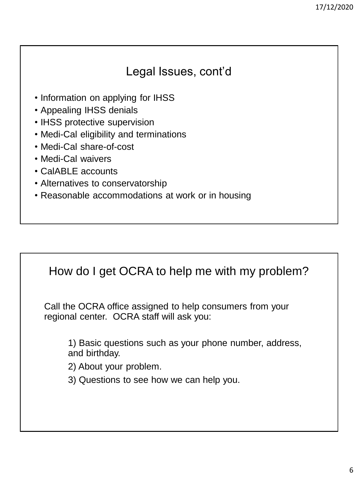#### Legal Issues, cont'd

- Information on applying for IHSS
- Appealing IHSS denials
- IHSS protective supervision
- Medi-Cal eligibility and terminations
- Medi-Cal share-of-cost
- Medi-Cal waivers
- CalABLE accounts
- Alternatives to conservatorship
- Reasonable accommodations at work or in housing

#### How do I get OCRA to help me with my problem?

Call the OCRA office assigned to help consumers from your regional center. OCRA staff will ask you:

1) Basic questions such as your phone number, address, and birthday.

2) About your problem.

3) Questions to see how we can help you.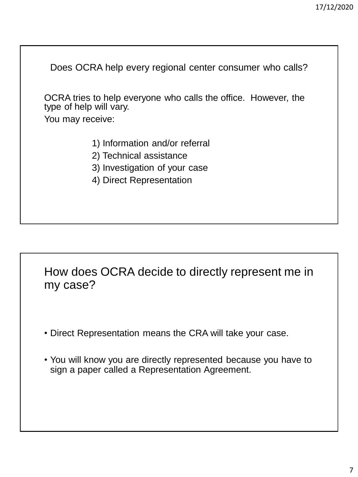Does OCRA help every regional center consumer who calls? OCRA tries to help everyone who calls the office. However, the type of help will vary. You may receive: 1) Information and/or referral

- 2) Technical assistance
- 3) Investigation of your case
- 4) Direct Representation

How does OCRA decide to directly represent me in my case?

- Direct Representation means the CRA will take your case.
- You will know you are directly represented because you have to sign a paper called a Representation Agreement.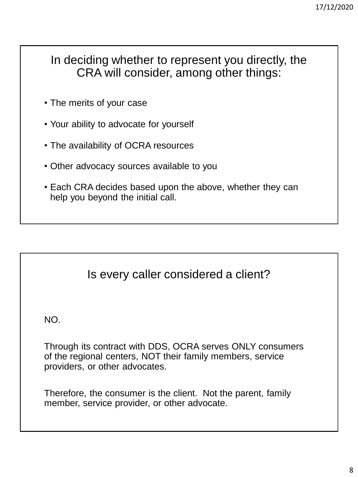#### In deciding whether to represent you directly, the CRA will consider, among other things:

- The merits of your case
- Your ability to advocate for yourself
- The availability of OCRA resources
- Other advocacy sources available to you
- Each CRA decides based upon the above, whether they can help you beyond the initial call.

#### Is every caller considered a client?

NO.

Through its contract with DDS, OCRA serves ONLY consumers of the regional centers, NOT their family members, service providers, or other advocates.

Therefore, the consumer is the client. Not the parent, family member, service provider, or other advocate.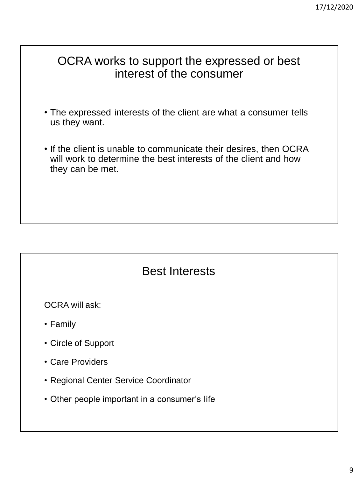#### OCRA works to support the expressed or best interest of the consumer

- The expressed interests of the client are what a consumer tells us they want.
- If the client is unable to communicate their desires, then OCRA will work to determine the best interests of the client and how they can be met.

#### Best Interests

OCRA will ask:

- Family
- Circle of Support
- Care Providers
- Regional Center Service Coordinator
- Other people important in a consumer's life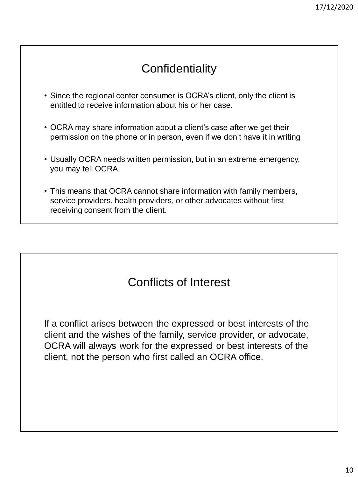### **Confidentiality**

- Since the regional center consumer is OCRA's client, only the client is entitled to receive information about his or her case.
- OCRA may share information about a client's case after we get their permission on the phone or in person, even if we don't have it in writing
- Usually OCRA needs written permission, but in an extreme emergency, you may tell OCRA.
- This means that OCRA cannot share information with family members, service providers, health providers, or other advocates without first receiving consent from the client.

### Conflicts of Interest

If a conflict arises between the expressed or best interests of the client and the wishes of the family, service provider, or advocate, OCRA will always work for the expressed or best interests of the client, not the person who first called an OCRA office.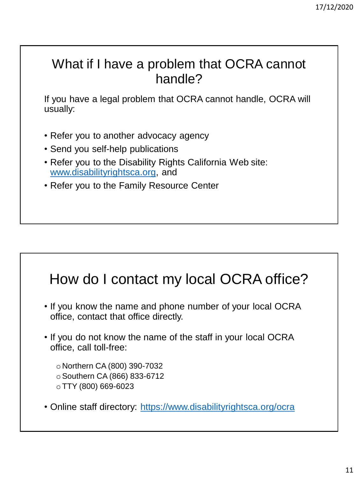## What if I have a problem that OCRA cannot handle?

If you have a legal problem that OCRA cannot handle, OCRA will usually:

- Refer you to another advocacy agency
- Send you self-help publications
- Refer you to the Disability Rights California Web site: [www.disabilityrightsca.org](http://www.disabilityrightsca.org/), and
- Refer you to the Family Resource Center

## How do I contact my local OCRA office?

- If you know the name and phone number of your local OCRA office, contact that office directly.
- If you do not know the name of the staff in your local OCRA office, call toll-free:
	- o Northern CA (800) 390-7032 oSouthern CA (866) 833-6712 o TTY (800) 669-6023
- Online staff directory: <https://www.disabilityrightsca.org/ocra>